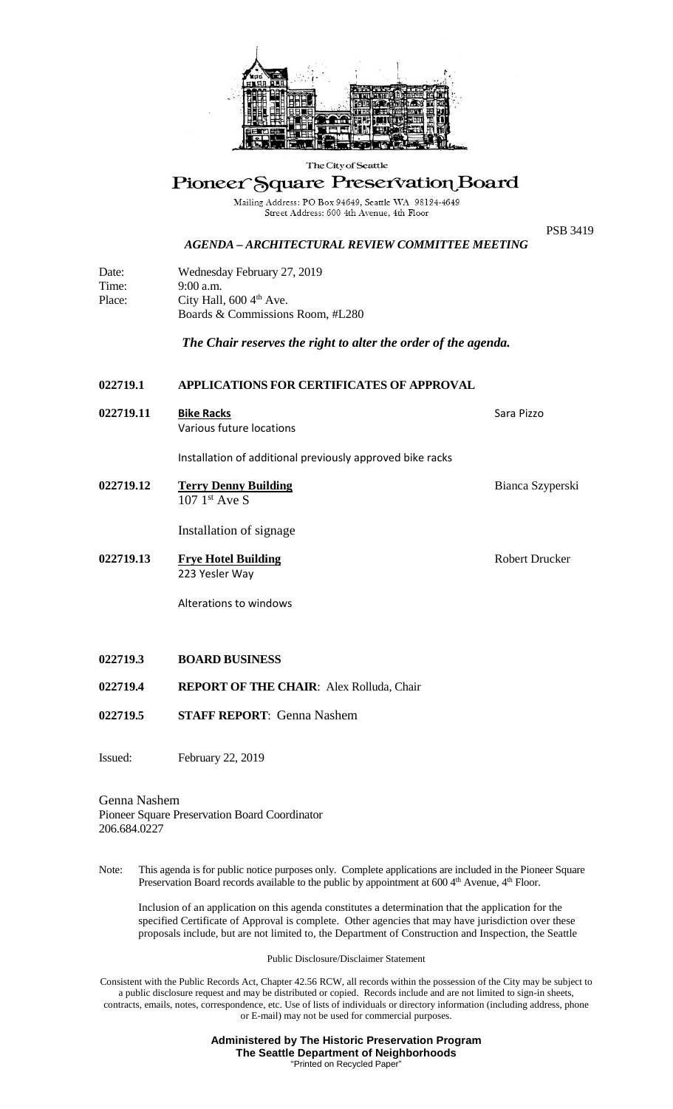

## The City of Seattle

## Pioneer Square Preservation Board

Mailing Address: PO Box 94649, Seattle WA 98124-4649<br>Street Address: 600 4th Avenue, 4th Floor

*AGENDA – ARCHITECTURAL REVIEW COMMITTEE MEETING*

PSB 3419

| Date:  | Wednesday February 27, 2019          |
|--------|--------------------------------------|
| Time:  | $9:00$ a.m.                          |
| Place: | City Hall, $600\,4^{\text{th}}$ Ave. |
|        | Boards & Commissions Room, #L280     |

*The Chair reserves the right to alter the order of the agenda.*

## **022719.1 APPLICATIONS FOR CERTIFICATES OF APPROVAL**

**022719.11 Bike Racks** Sara Pizzo Various future locations

Installation of additional previously approved bike racks

**022719.12** Terry Denny Building Bianca Szyperski  $107 \;1<sup>st</sup>$  Ave S

Installation of signage

**022719.13 Frye Hotel Building** Robert Drucker 223 Yesler Way

Alterations to windows

- **022719.3 BOARD BUSINESS**
- **022719.4 REPORT OF THE CHAIR**: Alex Rolluda, Chair
- **022719.5 STAFF REPORT**: Genna Nashem

Issued: February 22, 2019

## Genna Nashem Pioneer Square Preservation Board Coordinator 206.684.0227

Note: This agenda is for public notice purposes only. Complete applications are included in the Pioneer Square Preservation Board records available to the public by appointment at 600 4<sup>th</sup> Avenue, 4<sup>th</sup> Floor.

Inclusion of an application on this agenda constitutes a determination that the application for the specified Certificate of Approval is complete. Other agencies that may have jurisdiction over these proposals include, but are not limited to, the Department of Construction and Inspection, the Seattle

Public Disclosure/Disclaimer Statement

Consistent with the Public Records Act, Chapter 42.56 RCW, all records within the possession of the City may be subject to a public disclosure request and may be distributed or copied. Records include and are not limited to sign-in sheets, contracts, emails, notes, correspondence, etc. Use of lists of individuals or directory information (including address, phone or E-mail) may not be used for commercial purposes.

> **Administered by The Historic Preservation Program The Seattle Department of Neighborhoods** "Printed on Recycled Paper"